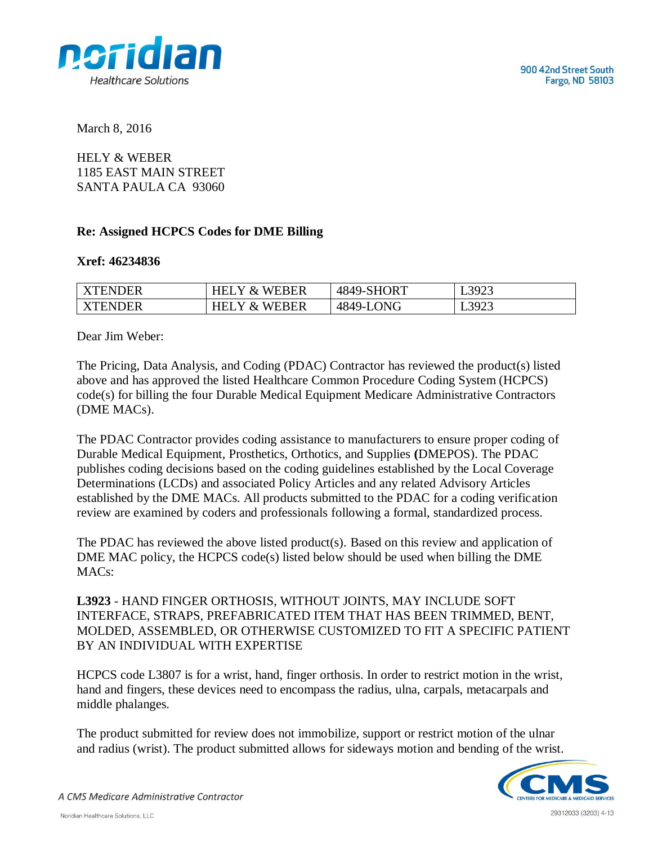

March 8, 2016

HELY & WEBER 1185 EAST MAIN STREET SANTA PAULA CA 93060

## **Re: Assigned HCPCS Codes for DME Billing**

## **Xref: 46234836**

| <b>XTENDER</b> | Y & WEBER.<br>HEI       | 4849-SHORT | L3923 |
|----------------|-------------------------|------------|-------|
| <b>XTENDER</b> | Y & WEBER<br><b>HEI</b> | 4849-LONG  | L3923 |

Dear Jim Weber:

The Pricing, Data Analysis, and Coding (PDAC) Contractor has reviewed the product(s) listed above and has approved the listed Healthcare Common Procedure Coding System (HCPCS) code(s) for billing the four Durable Medical Equipment Medicare Administrative Contractors (DME MACs).

The PDAC Contractor provides coding assistance to manufacturers to ensure proper coding of Durable Medical Equipment, Prosthetics, Orthotics, and Supplies **(**DMEPOS). The PDAC publishes coding decisions based on the coding guidelines established by the Local Coverage Determinations (LCDs) and associated Policy Articles and any related Advisory Articles established by the DME MACs. All products submitted to the PDAC for a coding verification review are examined by coders and professionals following a formal, standardized process.

The PDAC has reviewed the above listed product(s). Based on this review and application of DME MAC policy, the HCPCS code(s) listed below should be used when billing the DME MAC<sub>s</sub>:

**L3923** - HAND FINGER ORTHOSIS, WITHOUT JOINTS, MAY INCLUDE SOFT INTERFACE, STRAPS, PREFABRICATED ITEM THAT HAS BEEN TRIMMED, BENT, MOLDED, ASSEMBLED, OR OTHERWISE CUSTOMIZED TO FIT A SPECIFIC PATIENT BY AN INDIVIDUAL WITH EXPERTISE

HCPCS code L3807 is for a wrist, hand, finger orthosis. In order to restrict motion in the wrist, hand and fingers, these devices need to encompass the radius, ulna, carpals, metacarpals and middle phalanges.

The product submitted for review does not immobilize, support or restrict motion of the ulnar and radius (wrist). The product submitted allows for sideways motion and bending of the wrist.



A CMS Medicare Administrative Contractor